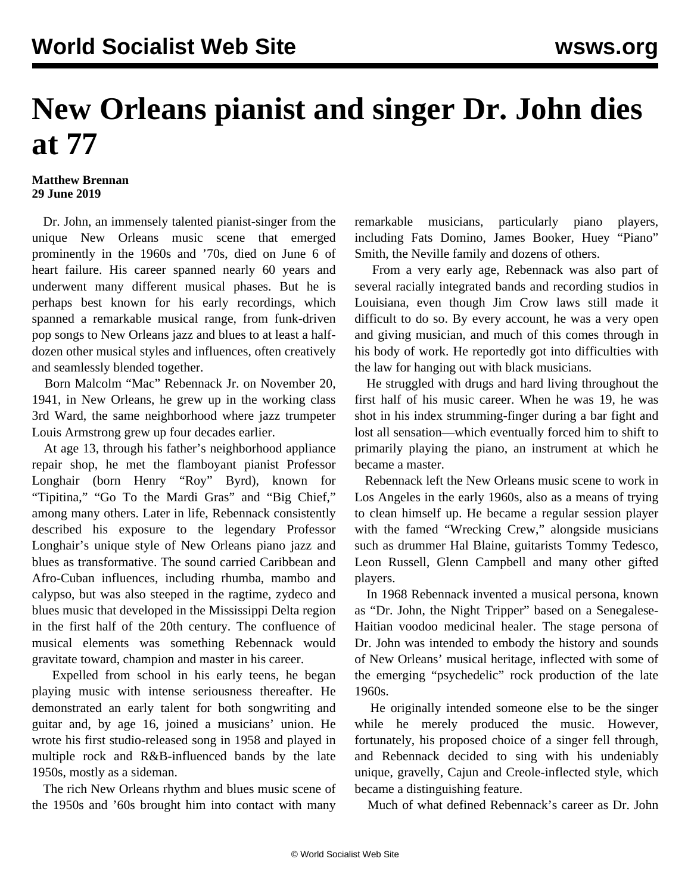## **New Orleans pianist and singer Dr. John dies at 77**

## **Matthew Brennan 29 June 2019**

 Dr. John, an immensely talented pianist-singer from the unique New Orleans music scene that emerged prominently in the 1960s and '70s, died on June 6 of heart failure. His career spanned nearly 60 years and underwent many different musical phases. But he is perhaps best known for his early recordings, which spanned a remarkable musical range, from funk-driven pop songs to New Orleans jazz and blues to at least a halfdozen other musical styles and influences, often creatively and seamlessly blended together.

 Born Malcolm "Mac" Rebennack Jr. on November 20, 1941, in New Orleans, he grew up in the working class 3rd Ward, the same neighborhood where jazz trumpeter Louis Armstrong grew up four decades earlier.

 At age 13, through his father's neighborhood appliance repair shop, he met the flamboyant pianist Professor Longhair (born Henry "Roy" Byrd), known for ["Tipitina,](https://www.youtube.com/watch?v=DtV5cBQpINM)" "Go To the Mardi Gras" and "[Big Chief,](https://www.youtube.com/watch?v=PbolafCdcqY)" among many others. Later in life, Rebennack consistently described his exposure to the legendary Professor Longhair's unique style of New Orleans piano jazz and blues as transformative. The sound carried Caribbean and Afro-Cuban influences, including rhumba, mambo and calypso, but was also steeped in the ragtime, zydeco and blues music that developed in the Mississippi Delta region in the first half of the 20th century. The confluence of musical elements was something Rebennack would gravitate toward, champion and master in his career.

 Expelled from school in his early teens, he began playing music with intense seriousness thereafter. He demonstrated an early talent for both songwriting and guitar and, by age 16, joined a musicians' union. He wrote his first studio-released song in 1958 and played in multiple rock and R&B-influenced bands by the late 1950s, mostly as a sideman.

 The rich New Orleans rhythm and blues music scene of the 1950s and '60s brought him into contact with many remarkable musicians, particularly piano players, including Fats Domino, James Booker, Huey "Piano" Smith, the Neville family and dozens of others.

 From a very early age, Rebennack was also part of several racially integrated bands and recording studios in Louisiana, even though Jim Crow laws still made it difficult to do so. By every account, he was a very open and giving musician, and much of this comes through in his body of work. He reportedly got into difficulties with the law for hanging out with black musicians.

 He struggled with drugs and hard living throughout the first half of his music career. When he was 19, he was shot in his index strumming-finger during a bar fight and lost all sensation—which eventually forced him to shift to primarily playing the piano, an instrument at which he became a master.

 Rebennack left the New Orleans music scene to work in Los Angeles in the early 1960s, also as a means of trying to clean himself up. He became a regular session player with the famed ["Wrecking Crew,](/en/articles/2015/11/14/wrec-n14.html)" alongside musicians such as drummer [Hal Blaine](/en/articles/2019/03/19/blai-m19.html), guitarists Tommy Tedesco, Leon Russell, Glenn Campbell and many other gifted players.

 In 1968 Rebennack invented a musical persona, known as "Dr. John, the Night Tripper" based on a Senegalese-Haitian voodoo medicinal healer. The stage persona of Dr. John was intended to embody the history and sounds of New Orleans' musical heritage, inflected with some of the emerging "psychedelic" rock production of the late 1960s.

 He originally intended someone else to be the singer while he merely produced the music. However, fortunately, his proposed choice of a singer fell through, and Rebennack decided to sing with his undeniably unique, gravelly, Cajun and Creole-inflected style, which became a distinguishing feature.

Much of what defined Rebennack's career as Dr. John